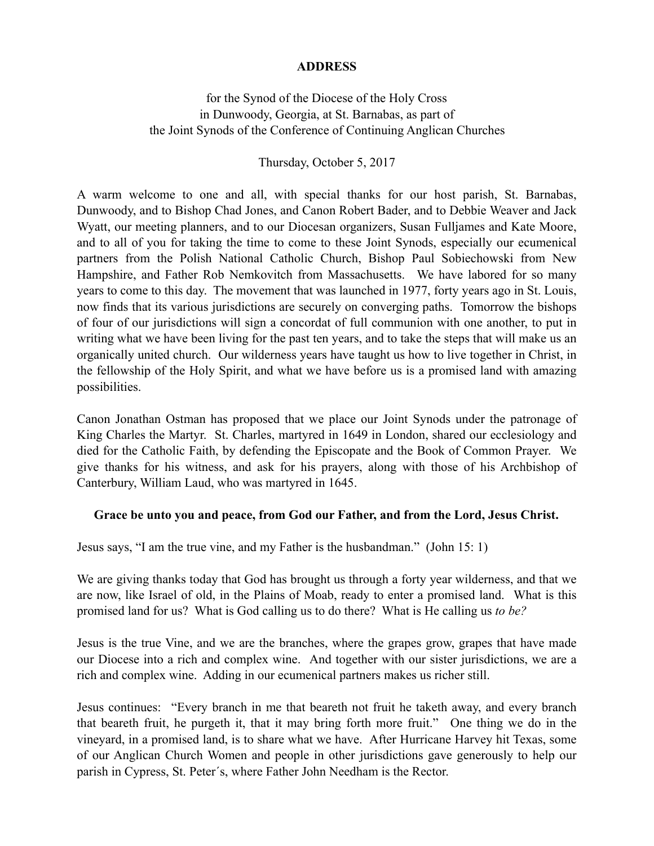## **ADDRESS**

for the Synod of the Diocese of the Holy Cross in Dunwoody, Georgia, at St. Barnabas, as part of the Joint Synods of the Conference of Continuing Anglican Churches

Thursday, October 5, 2017

A warm welcome to one and all, with special thanks for our host parish, St. Barnabas, Dunwoody, and to Bishop Chad Jones, and Canon Robert Bader, and to Debbie Weaver and Jack Wyatt, our meeting planners, and to our Diocesan organizers, Susan Fulljames and Kate Moore, and to all of you for taking the time to come to these Joint Synods, especially our ecumenical partners from the Polish National Catholic Church, Bishop Paul Sobiechowski from New Hampshire, and Father Rob Nemkovitch from Massachusetts. We have labored for so many years to come to this day. The movement that was launched in 1977, forty years ago in St. Louis, now finds that its various jurisdictions are securely on converging paths. Tomorrow the bishops of four of our jurisdictions will sign a concordat of full communion with one another, to put in writing what we have been living for the past ten years, and to take the steps that will make us an organically united church. Our wilderness years have taught us how to live together in Christ, in the fellowship of the Holy Spirit, and what we have before us is a promised land with amazing possibilities.

Canon Jonathan Ostman has proposed that we place our Joint Synods under the patronage of King Charles the Martyr. St. Charles, martyred in 1649 in London, shared our ecclesiology and died for the Catholic Faith, by defending the Episcopate and the Book of Common Prayer. We give thanks for his witness, and ask for his prayers, along with those of his Archbishop of Canterbury, William Laud, who was martyred in 1645.

## **Grace be unto you and peace, from God our Father, and from the Lord, Jesus Christ.**

Jesus says, "I am the true vine, and my Father is the husbandman." (John 15: 1)

We are giving thanks today that God has brought us through a forty year wilderness, and that we are now, like Israel of old, in the Plains of Moab, ready to enter a promised land. What is this promised land for us? What is God calling us to do there? What is He calling us *to be?* 

Jesus is the true Vine, and we are the branches, where the grapes grow, grapes that have made our Diocese into a rich and complex wine. And together with our sister jurisdictions, we are a rich and complex wine. Adding in our ecumenical partners makes us richer still.

Jesus continues: "Every branch in me that beareth not fruit he taketh away, and every branch that beareth fruit, he purgeth it, that it may bring forth more fruit." One thing we do in the vineyard, in a promised land, is to share what we have. After Hurricane Harvey hit Texas, some of our Anglican Church Women and people in other jurisdictions gave generously to help our parish in Cypress, St. Peter´s, where Father John Needham is the Rector.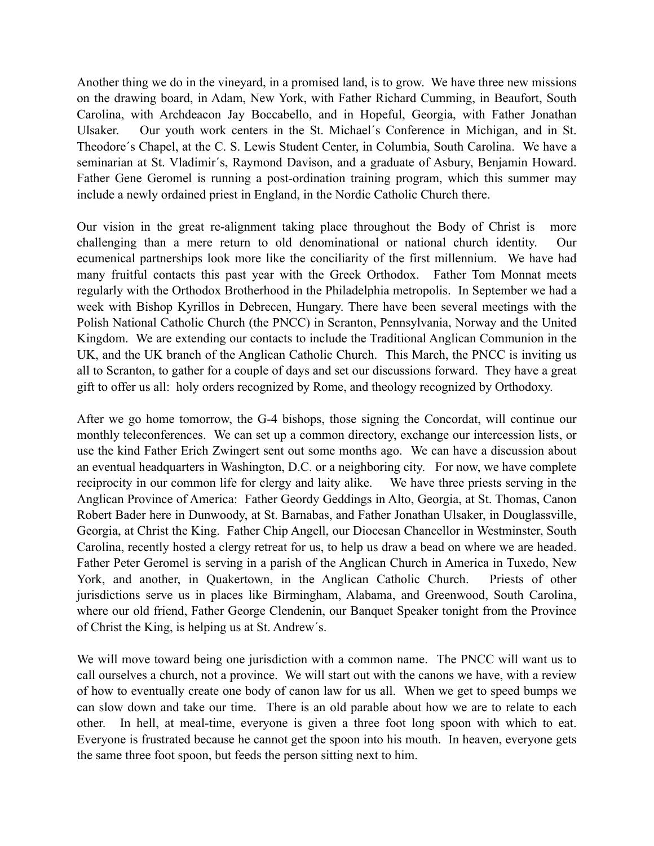Another thing we do in the vineyard, in a promised land, is to grow. We have three new missions on the drawing board, in Adam, New York, with Father Richard Cumming, in Beaufort, South Carolina, with Archdeacon Jay Boccabello, and in Hopeful, Georgia, with Father Jonathan Ulsaker. Our youth work centers in the St. Michael´s Conference in Michigan, and in St. Theodore´s Chapel, at the C. S. Lewis Student Center, in Columbia, South Carolina. We have a seminarian at St. Vladimir´s, Raymond Davison, and a graduate of Asbury, Benjamin Howard. Father Gene Geromel is running a post-ordination training program, which this summer may include a newly ordained priest in England, in the Nordic Catholic Church there.

Our vision in the great re-alignment taking place throughout the Body of Christ is more challenging than a mere return to old denominational or national church identity. Our ecumenical partnerships look more like the conciliarity of the first millennium. We have had many fruitful contacts this past year with the Greek Orthodox. Father Tom Monnat meets regularly with the Orthodox Brotherhood in the Philadelphia metropolis. In September we had a week with Bishop Kyrillos in Debrecen, Hungary. There have been several meetings with the Polish National Catholic Church (the PNCC) in Scranton, Pennsylvania, Norway and the United Kingdom. We are extending our contacts to include the Traditional Anglican Communion in the UK, and the UK branch of the Anglican Catholic Church. This March, the PNCC is inviting us all to Scranton, to gather for a couple of days and set our discussions forward. They have a great gift to offer us all: holy orders recognized by Rome, and theology recognized by Orthodoxy.

After we go home tomorrow, the G-4 bishops, those signing the Concordat, will continue our monthly teleconferences. We can set up a common directory, exchange our intercession lists, or use the kind Father Erich Zwingert sent out some months ago. We can have a discussion about an eventual headquarters in Washington, D.C. or a neighboring city. For now, we have complete reciprocity in our common life for clergy and laity alike. We have three priests serving in the Anglican Province of America: Father Geordy Geddings in Alto, Georgia, at St. Thomas, Canon Robert Bader here in Dunwoody, at St. Barnabas, and Father Jonathan Ulsaker, in Douglassville, Georgia, at Christ the King. Father Chip Angell, our Diocesan Chancellor in Westminster, South Carolina, recently hosted a clergy retreat for us, to help us draw a bead on where we are headed. Father Peter Geromel is serving in a parish of the Anglican Church in America in Tuxedo, New York, and another, in Quakertown, in the Anglican Catholic Church. Priests of other jurisdictions serve us in places like Birmingham, Alabama, and Greenwood, South Carolina, where our old friend, Father George Clendenin, our Banquet Speaker tonight from the Province of Christ the King, is helping us at St. Andrew´s.

We will move toward being one jurisdiction with a common name. The PNCC will want us to call ourselves a church, not a province. We will start out with the canons we have, with a review of how to eventually create one body of canon law for us all. When we get to speed bumps we can slow down and take our time. There is an old parable about how we are to relate to each other. In hell, at meal-time, everyone is given a three foot long spoon with which to eat. Everyone is frustrated because he cannot get the spoon into his mouth. In heaven, everyone gets the same three foot spoon, but feeds the person sitting next to him.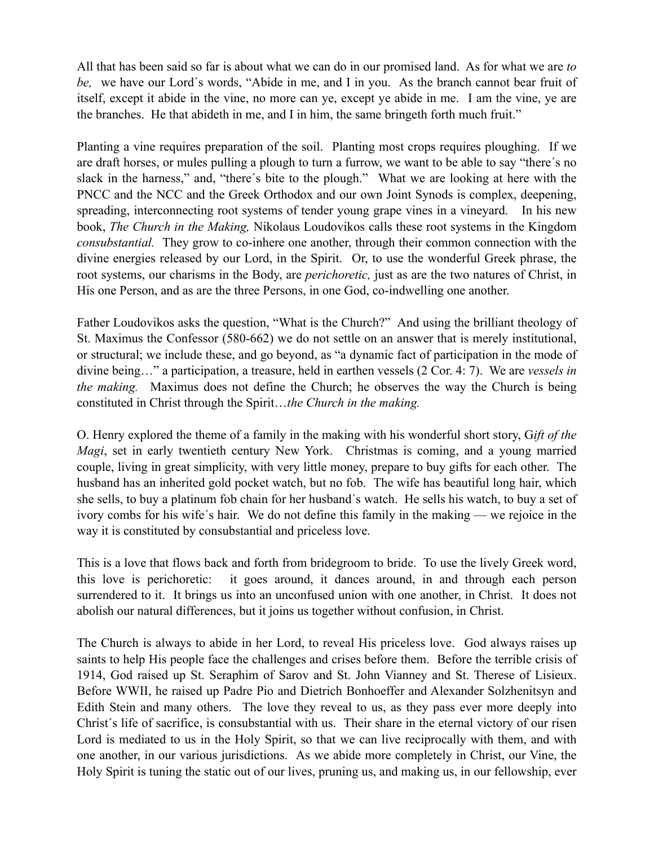All that has been said so far is about what we can do in our promised land. As for what we are *to be,* we have our Lord´s words, "Abide in me, and I in you. As the branch cannot bear fruit of itself, except it abide in the vine, no more can ye, except ye abide in me. I am the vine, ye are the branches. He that abideth in me, and I in him, the same bringeth forth much fruit."

Planting a vine requires preparation of the soil. Planting most crops requires ploughing. If we are draft horses, or mules pulling a plough to turn a furrow, we want to be able to say "there´s no slack in the harness," and, "there´s bite to the plough." What we are looking at here with the PNCC and the NCC and the Greek Orthodox and our own Joint Synods is complex, deepening, spreading, interconnecting root systems of tender young grape vines in a vineyard. In his new book, *The Church in the Making,* Nikolaus Loudovikos calls these root systems in the Kingdom *consubstantial.* They grow to co-inhere one another, through their common connection with the divine energies released by our Lord, in the Spirit. Or, to use the wonderful Greek phrase, the root systems, our charisms in the Body, are *perichoretic,* just as are the two natures of Christ, in His one Person, and as are the three Persons, in one God, co-indwelling one another.

Father Loudovikos asks the question, "What is the Church?" And using the brilliant theology of St. Maximus the Confessor (580-662) we do not settle on an answer that is merely institutional, or structural; we include these, and go beyond, as "a dynamic fact of participation in the mode of divine being…" a participation, a treasure, held in earthen vessels (2 Cor. 4: 7). We are *vessels in the making.* Maximus does not define the Church; he observes the way the Church is being constituted in Christ through the Spirit…*the Church in the making.* 

O. Henry explored the theme of a family in the making with his wonderful short story, G*ift of the Magi*, set in early twentieth century New York. Christmas is coming, and a young married couple, living in great simplicity, with very little money, prepare to buy gifts for each other. The husband has an inherited gold pocket watch, but no fob. The wife has beautiful long hair, which she sells, to buy a platinum fob chain for her husband´s watch. He sells his watch, to buy a set of ivory combs for his wife´s hair. We do not define this family in the making — we rejoice in the way it is constituted by consubstantial and priceless love.

This is a love that flows back and forth from bridegroom to bride. To use the lively Greek word, this love is perichoretic: it goes around, it dances around, in and through each person surrendered to it. It brings us into an unconfused union with one another, in Christ. It does not abolish our natural differences, but it joins us together without confusion, in Christ.

The Church is always to abide in her Lord, to reveal His priceless love. God always raises up saints to help His people face the challenges and crises before them. Before the terrible crisis of 1914, God raised up St. Seraphim of Sarov and St. John Vianney and St. Therese of Lisieux. Before WWII, he raised up Padre Pio and Dietrich Bonhoeffer and Alexander Solzhenitsyn and Edith Stein and many others. The love they reveal to us, as they pass ever more deeply into Christ´s life of sacrifice, is consubstantial with us. Their share in the eternal victory of our risen Lord is mediated to us in the Holy Spirit, so that we can live reciprocally with them, and with one another, in our various jurisdictions. As we abide more completely in Christ, our Vine, the Holy Spirit is tuning the static out of our lives, pruning us, and making us, in our fellowship, ever